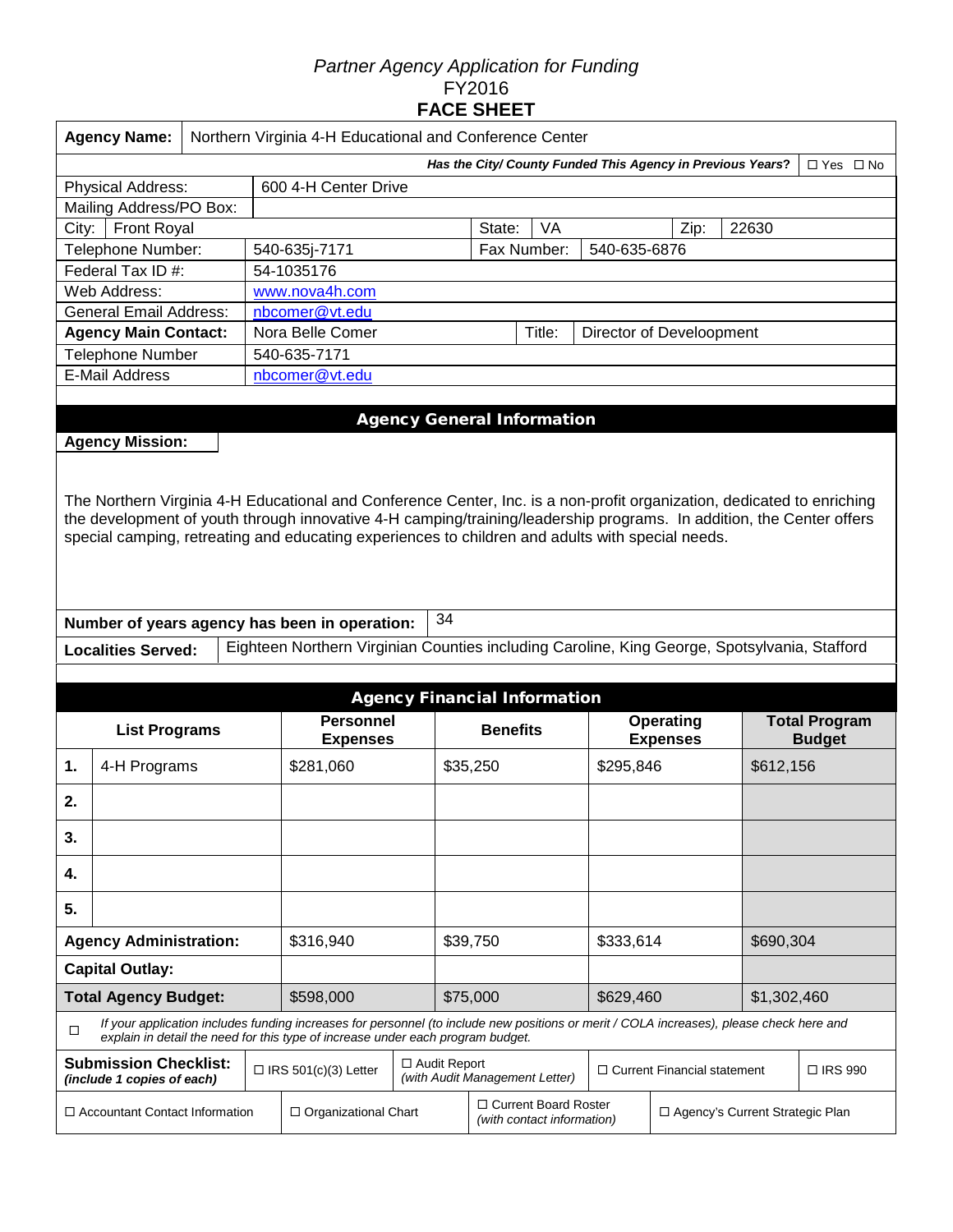### *Partner Agency Application for Funding*  FY2016 **FACE SHEET**

|                                       | <b>Agency Name:</b><br>Northern Virginia 4-H Educational and Conference Center                                                                                                                                                                                                                                                                     |  |  |                                                                                                                                                                                                                             |                                      |          |                                     |           |                          |                                     |           |                                       |  |
|---------------------------------------|----------------------------------------------------------------------------------------------------------------------------------------------------------------------------------------------------------------------------------------------------------------------------------------------------------------------------------------------------|--|--|-----------------------------------------------------------------------------------------------------------------------------------------------------------------------------------------------------------------------------|--------------------------------------|----------|-------------------------------------|-----------|--------------------------|-------------------------------------|-----------|---------------------------------------|--|
|                                       | Has the City/ County Funded This Agency in Previous Years?<br>$\Box$ Yes $\Box$ No                                                                                                                                                                                                                                                                 |  |  |                                                                                                                                                                                                                             |                                      |          |                                     |           |                          |                                     |           |                                       |  |
|                                       | 600 4-H Center Drive<br><b>Physical Address:</b>                                                                                                                                                                                                                                                                                                   |  |  |                                                                                                                                                                                                                             |                                      |          |                                     |           |                          |                                     |           |                                       |  |
|                                       | Mailing Address/PO Box:                                                                                                                                                                                                                                                                                                                            |  |  |                                                                                                                                                                                                                             |                                      |          |                                     |           |                          |                                     |           |                                       |  |
| City:                                 | <b>Front Royal</b>                                                                                                                                                                                                                                                                                                                                 |  |  |                                                                                                                                                                                                                             | <b>VA</b><br>22630<br>State:<br>Zip: |          |                                     |           |                          |                                     |           |                                       |  |
|                                       | Telephone Number:                                                                                                                                                                                                                                                                                                                                  |  |  | 540-635j-7171                                                                                                                                                                                                               | 540-635-6876<br>Fax Number:          |          |                                     |           |                          |                                     |           |                                       |  |
|                                       | Federal Tax ID #:                                                                                                                                                                                                                                                                                                                                  |  |  | 54-1035176                                                                                                                                                                                                                  |                                      |          |                                     |           |                          |                                     |           |                                       |  |
|                                       | Web Address:                                                                                                                                                                                                                                                                                                                                       |  |  | www.nova4h.com                                                                                                                                                                                                              |                                      |          |                                     |           |                          |                                     |           |                                       |  |
|                                       | <b>General Email Address:</b>                                                                                                                                                                                                                                                                                                                      |  |  | nbcomer@vt.edu                                                                                                                                                                                                              |                                      |          |                                     |           |                          |                                     |           |                                       |  |
|                                       | <b>Agency Main Contact:</b>                                                                                                                                                                                                                                                                                                                        |  |  | Nora Belle Comer                                                                                                                                                                                                            |                                      |          |                                     | Title:    | Director of Develoopment |                                     |           |                                       |  |
|                                       | Telephone Number                                                                                                                                                                                                                                                                                                                                   |  |  | 540-635-7171                                                                                                                                                                                                                |                                      |          |                                     |           |                          |                                     |           |                                       |  |
|                                       | <b>E-Mail Address</b>                                                                                                                                                                                                                                                                                                                              |  |  | nbcomer@vt.edu                                                                                                                                                                                                              |                                      |          |                                     |           |                          |                                     |           |                                       |  |
|                                       |                                                                                                                                                                                                                                                                                                                                                    |  |  |                                                                                                                                                                                                                             |                                      |          |                                     |           |                          |                                     |           |                                       |  |
|                                       |                                                                                                                                                                                                                                                                                                                                                    |  |  |                                                                                                                                                                                                                             |                                      |          | <b>Agency General Information</b>   |           |                          |                                     |           |                                       |  |
|                                       | <b>Agency Mission:</b>                                                                                                                                                                                                                                                                                                                             |  |  |                                                                                                                                                                                                                             |                                      |          |                                     |           |                          |                                     |           |                                       |  |
|                                       | The Northern Virginia 4-H Educational and Conference Center, Inc. is a non-profit organization, dedicated to enriching<br>the development of youth through innovative 4-H camping/training/leadership programs. In addition, the Center offers<br>special camping, retreating and educating experiences to children and adults with special needs. |  |  |                                                                                                                                                                                                                             |                                      |          |                                     |           |                          |                                     |           |                                       |  |
|                                       |                                                                                                                                                                                                                                                                                                                                                    |  |  | Number of years agency has been in operation:                                                                                                                                                                               | 34                                   |          |                                     |           |                          |                                     |           |                                       |  |
|                                       | <b>Localities Served:</b>                                                                                                                                                                                                                                                                                                                          |  |  | Eighteen Northern Virginian Counties including Caroline, King George, Spotsylvania, Stafford                                                                                                                                |                                      |          |                                     |           |                          |                                     |           |                                       |  |
|                                       |                                                                                                                                                                                                                                                                                                                                                    |  |  |                                                                                                                                                                                                                             |                                      |          |                                     |           |                          |                                     |           |                                       |  |
|                                       |                                                                                                                                                                                                                                                                                                                                                    |  |  |                                                                                                                                                                                                                             |                                      |          | <b>Agency Financial Information</b> |           |                          |                                     |           |                                       |  |
|                                       | <b>List Programs</b>                                                                                                                                                                                                                                                                                                                               |  |  | <b>Personnel</b><br><b>Expenses</b>                                                                                                                                                                                         |                                      |          | <b>Benefits</b>                     |           |                          | <b>Operating</b><br><b>Expenses</b> |           | <b>Total Program</b><br><b>Budget</b> |  |
| 4-H Programs<br>1.                    |                                                                                                                                                                                                                                                                                                                                                    |  |  | \$281,060                                                                                                                                                                                                                   |                                      | \$35,250 |                                     | \$295,846 |                          |                                     | \$612,156 |                                       |  |
| 2.                                    |                                                                                                                                                                                                                                                                                                                                                    |  |  |                                                                                                                                                                                                                             |                                      |          |                                     |           |                          |                                     |           |                                       |  |
| 3.                                    |                                                                                                                                                                                                                                                                                                                                                    |  |  |                                                                                                                                                                                                                             |                                      |          |                                     |           |                          |                                     |           |                                       |  |
| 4.                                    |                                                                                                                                                                                                                                                                                                                                                    |  |  |                                                                                                                                                                                                                             |                                      |          |                                     |           |                          |                                     |           |                                       |  |
| 5.                                    |                                                                                                                                                                                                                                                                                                                                                    |  |  |                                                                                                                                                                                                                             |                                      |          |                                     |           |                          |                                     |           |                                       |  |
|                                       | <b>Agency Administration:</b>                                                                                                                                                                                                                                                                                                                      |  |  | \$316,940                                                                                                                                                                                                                   |                                      | \$39,750 |                                     |           | \$333,614                |                                     | \$690,304 |                                       |  |
|                                       | <b>Capital Outlay:</b>                                                                                                                                                                                                                                                                                                                             |  |  |                                                                                                                                                                                                                             |                                      |          |                                     |           |                          |                                     |           |                                       |  |
| <b>Total Agency Budget:</b>           |                                                                                                                                                                                                                                                                                                                                                    |  |  | \$598,000                                                                                                                                                                                                                   |                                      |          | \$75,000                            |           |                          | \$1,302,460<br>\$629,460            |           |                                       |  |
| $\Box$                                |                                                                                                                                                                                                                                                                                                                                                    |  |  | If your application includes funding increases for personnel (to include new positions or merit / COLA increases), please check here and<br>explain in detail the need for this type of increase under each program budget. |                                      |          |                                     |           |                          |                                     |           |                                       |  |
|                                       | <b>Submission Checklist:</b><br>(include 1 copies of each)                                                                                                                                                                                                                                                                                         |  |  | $\Box$ IRS 501(c)(3) Letter                                                                                                                                                                                                 | □ Audit Report                       |          | (with Audit Management Letter)      |           |                          | $\Box$ Current Financial statement  |           | □ IRS 990                             |  |
| $\Box$ Accountant Contact Information |                                                                                                                                                                                                                                                                                                                                                    |  |  | □ Current Board Roster<br>$\Box$ Organizational Chart<br>□ Agency's Current Strategic Plan<br>(with contact information)                                                                                                    |                                      |          |                                     |           |                          |                                     |           |                                       |  |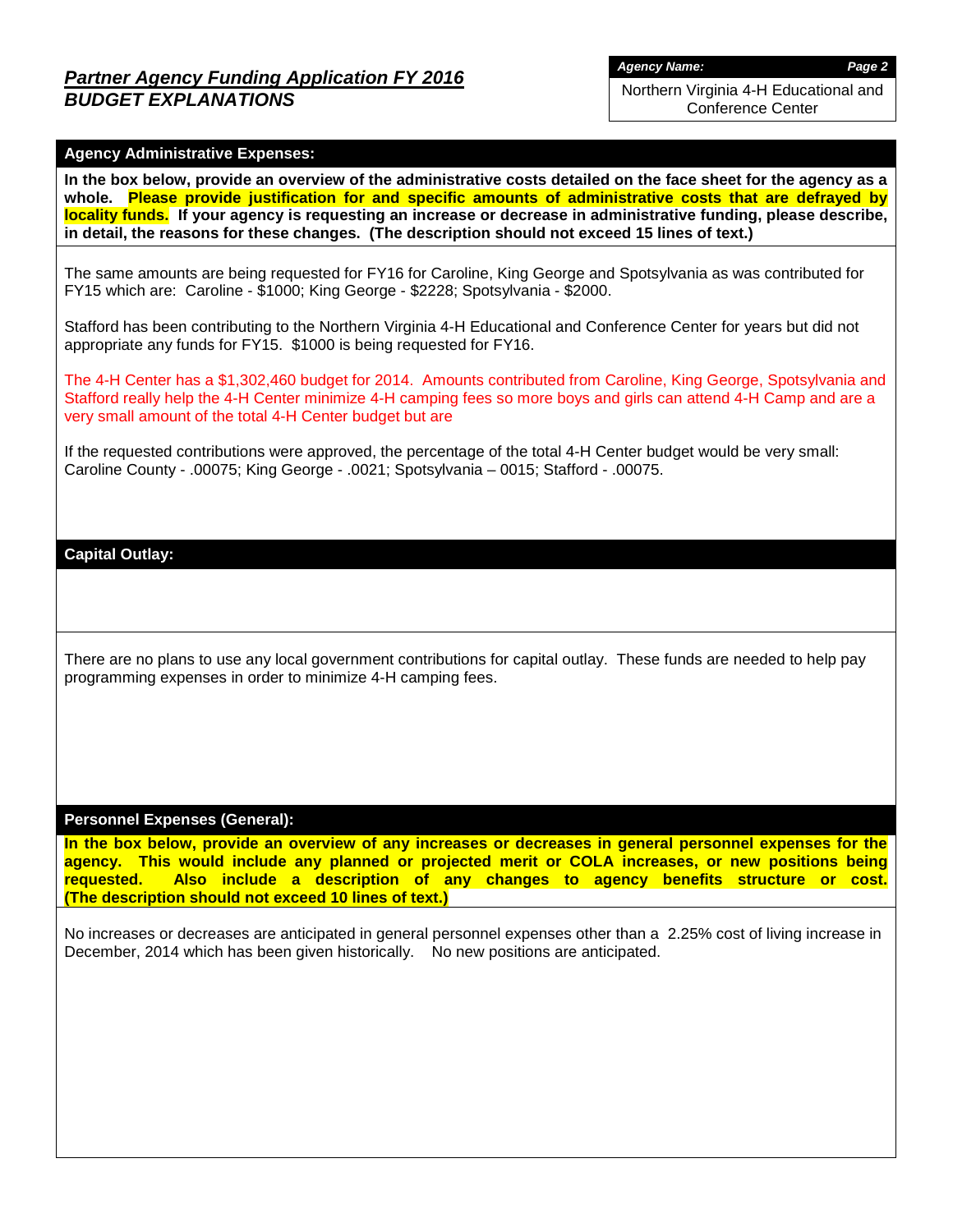*Agency Name: Page 2*

Northern Virginia 4-H Educational and Conference Center

### **Agency Administrative Expenses:**

**In the box below, provide an overview of the administrative costs detailed on the face sheet for the agency as a whole. Please provide justification for and specific amounts of administrative costs that are defrayed by locality funds. If your agency is requesting an increase or decrease in administrative funding, please describe, in detail, the reasons for these changes. (The description should not exceed 15 lines of text.)**

The same amounts are being requested for FY16 for Caroline, King George and Spotsylvania as was contributed for FY15 which are: Caroline - \$1000; King George - \$2228; Spotsylvania - \$2000.

Stafford has been contributing to the Northern Virginia 4-H Educational and Conference Center for years but did not appropriate any funds for FY15. \$1000 is being requested for FY16.

The 4-H Center has a \$1,302,460 budget for 2014. Amounts contributed from Caroline, King George, Spotsylvania and Stafford really help the 4-H Center minimize 4-H camping fees so more boys and girls can attend 4-H Camp and are a very small amount of the total 4-H Center budget but are

If the requested contributions were approved, the percentage of the total 4-H Center budget would be very small: Caroline County - .00075; King George - .0021; Spotsylvania – 0015; Stafford - .00075.

### **Capital Outlay:**

There are no plans to use any local government contributions for capital outlay. These funds are needed to help pay programming expenses in order to minimize 4-H camping fees.

#### **Personnel Expenses (General):**

**In the box below, provide an overview of any increases or decreases in general personnel expenses for the agency. This would include any planned or projected merit or COLA increases, or new positions being requested. Also include a description of any changes to agency benefits structure or cost. (The description should not exceed 10 lines of text.)**

No increases or decreases are anticipated in general personnel expenses other than a 2.25% cost of living increase in December, 2014 which has been given historically. No new positions are anticipated.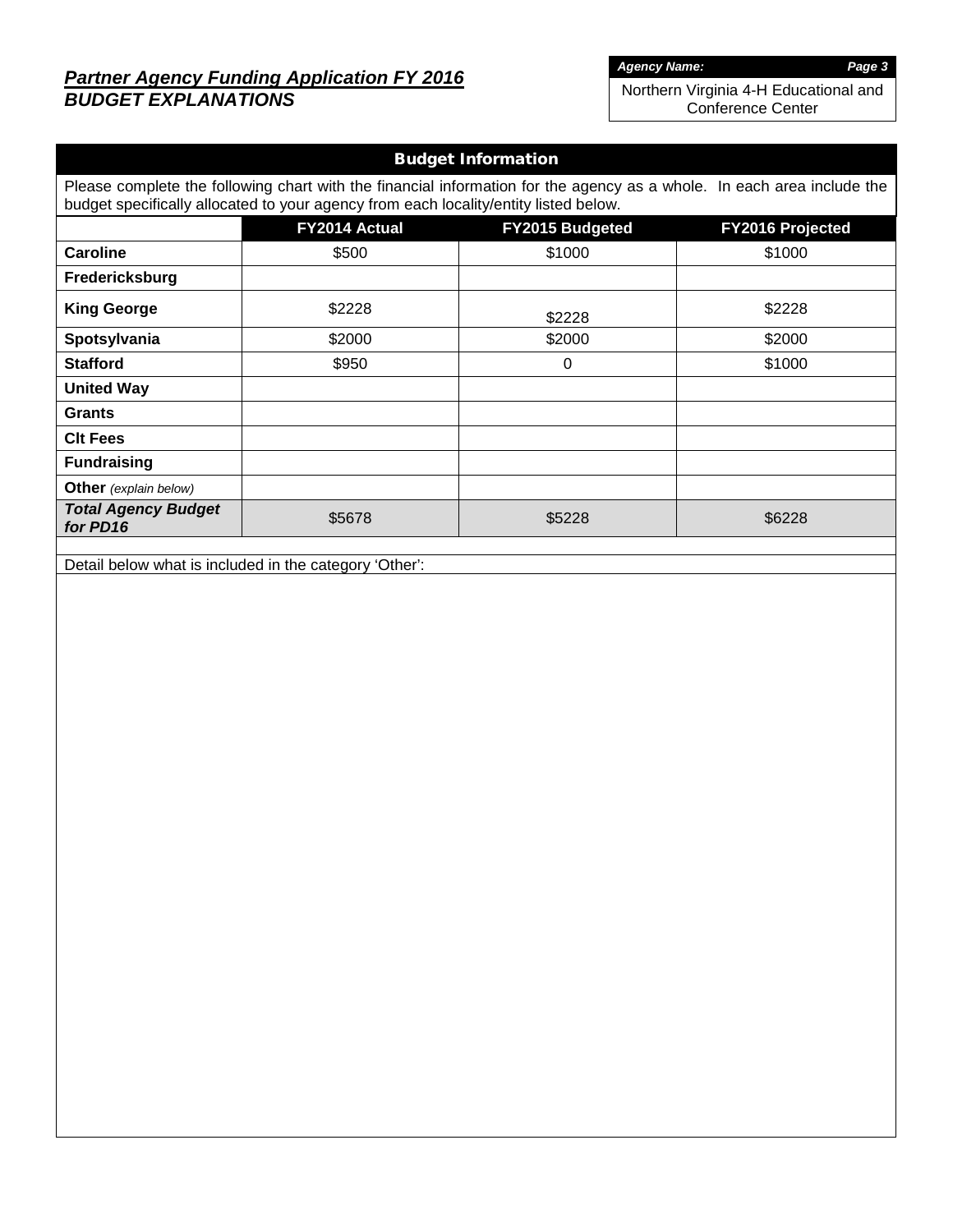# *Partner Agency Funding Application FY 2016 BUDGET EXPLANATIONS*

*Agency Name: Page 3*

Northern Virginia 4-H Educational and Conference Center

| <b>Budget Information</b>                                                                                                                                                                                      |                                                      |        |        |  |  |  |  |  |  |  |
|----------------------------------------------------------------------------------------------------------------------------------------------------------------------------------------------------------------|------------------------------------------------------|--------|--------|--|--|--|--|--|--|--|
| Please complete the following chart with the financial information for the agency as a whole. In each area include the<br>budget specifically allocated to your agency from each locality/entity listed below. |                                                      |        |        |  |  |  |  |  |  |  |
|                                                                                                                                                                                                                | FY2014 Actual<br>FY2015 Budgeted<br>FY2016 Projected |        |        |  |  |  |  |  |  |  |
| <b>Caroline</b>                                                                                                                                                                                                | \$500                                                | \$1000 | \$1000 |  |  |  |  |  |  |  |
| Fredericksburg                                                                                                                                                                                                 |                                                      |        |        |  |  |  |  |  |  |  |
| <b>King George</b>                                                                                                                                                                                             | \$2228                                               | \$2228 | \$2228 |  |  |  |  |  |  |  |
| Spotsylvania                                                                                                                                                                                                   | \$2000                                               | \$2000 | \$2000 |  |  |  |  |  |  |  |
| <b>Stafford</b>                                                                                                                                                                                                | \$950                                                | 0      | \$1000 |  |  |  |  |  |  |  |
| <b>United Way</b>                                                                                                                                                                                              |                                                      |        |        |  |  |  |  |  |  |  |
| <b>Grants</b>                                                                                                                                                                                                  |                                                      |        |        |  |  |  |  |  |  |  |
| <b>CIt Fees</b>                                                                                                                                                                                                |                                                      |        |        |  |  |  |  |  |  |  |
| <b>Fundraising</b>                                                                                                                                                                                             |                                                      |        |        |  |  |  |  |  |  |  |
| <b>Other</b> (explain below)                                                                                                                                                                                   |                                                      |        |        |  |  |  |  |  |  |  |
| <b>Total Agency Budget</b><br>for PD16                                                                                                                                                                         | \$5678                                               | \$5228 | \$6228 |  |  |  |  |  |  |  |
|                                                                                                                                                                                                                |                                                      |        |        |  |  |  |  |  |  |  |

Detail below what is included in the category 'Other':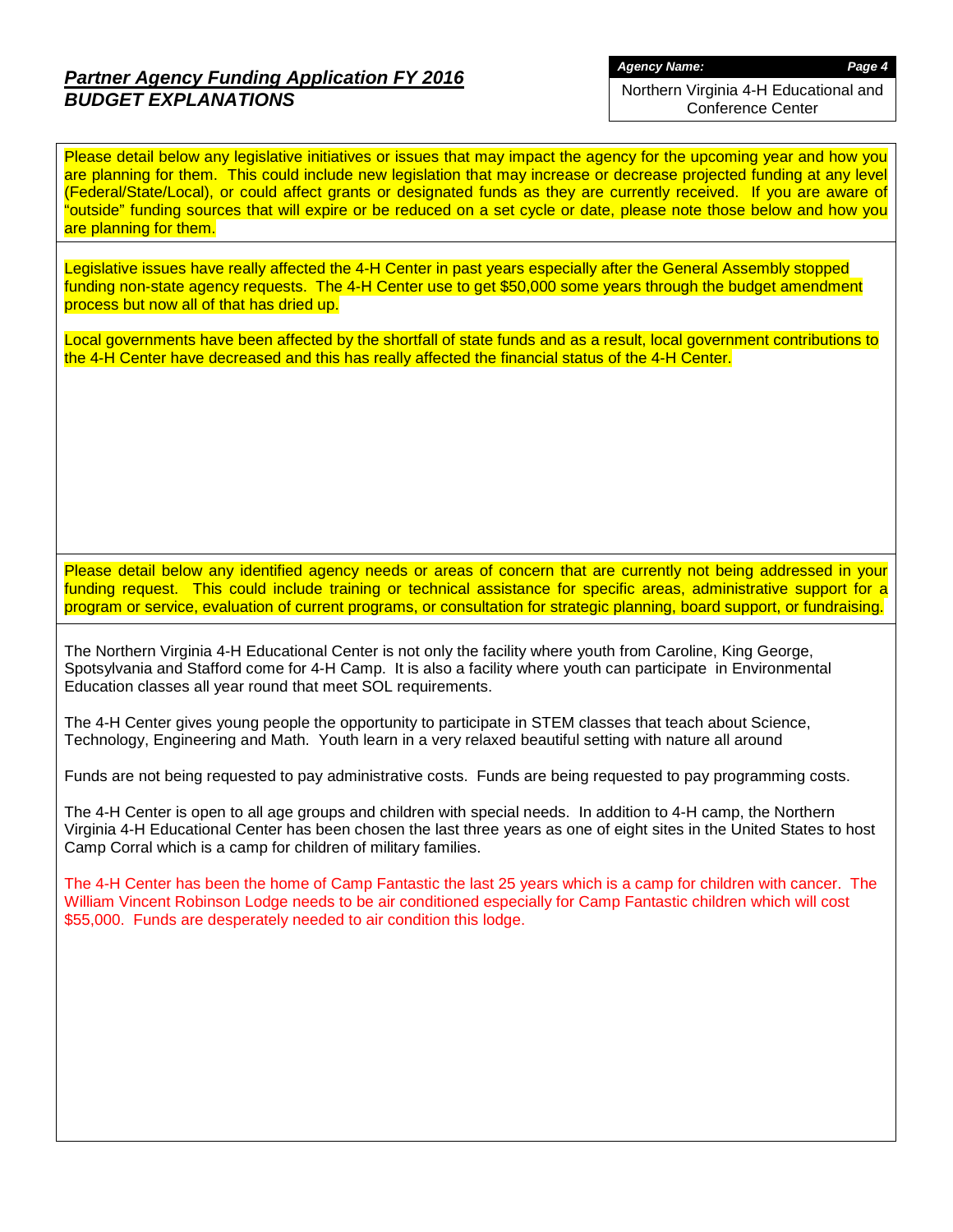# *Partner Agency Funding Application FY 2016 BUDGET EXPLANATIONS*

*Agency Name: Page 4*

Northern Virginia 4-H Educational and Conference Center

Please detail below any legislative initiatives or issues that may impact the agency for the upcoming year and how you are planning for them. This could include new legislation that may increase or decrease projected funding at any level (Federal/State/Local), or could affect grants or designated funds as they are currently received. If you are aware of "outside" funding sources that will expire or be reduced on a set cycle or date, please note those below and how you are planning for them.

Legislative issues have really affected the 4-H Center in past years especially after the General Assembly stopped funding non-state agency requests. The 4-H Center use to get \$50,000 some years through the budget amendment process but now all of that has dried up.

Local governments have been affected by the shortfall of state funds and as a result, local government contributions to the 4-H Center have decreased and this has really affected the financial status of the 4-H Center.

Please detail below any identified agency needs or areas of concern that are currently not being addressed in your funding request. This could include training or technical assistance for specific areas, administrative support for a program or service, evaluation of current programs, or consultation for strategic planning, board support, or fundraising.

The Northern Virginia 4-H Educational Center is not only the facility where youth from Caroline, King George, Spotsylvania and Stafford come for 4-H Camp. It is also a facility where youth can participate in Environmental Education classes all year round that meet SOL requirements.

The 4-H Center gives young people the opportunity to participate in STEM classes that teach about Science, Technology, Engineering and Math. Youth learn in a very relaxed beautiful setting with nature all around

Funds are not being requested to pay administrative costs. Funds are being requested to pay programming costs.

The 4-H Center is open to all age groups and children with special needs. In addition to 4-H camp, the Northern Virginia 4-H Educational Center has been chosen the last three years as one of eight sites in the United States to host Camp Corral which is a camp for children of military families.

The 4-H Center has been the home of Camp Fantastic the last 25 years which is a camp for children with cancer. The William Vincent Robinson Lodge needs to be air conditioned especially for Camp Fantastic children which will cost \$55,000. Funds are desperately needed to air condition this lodge.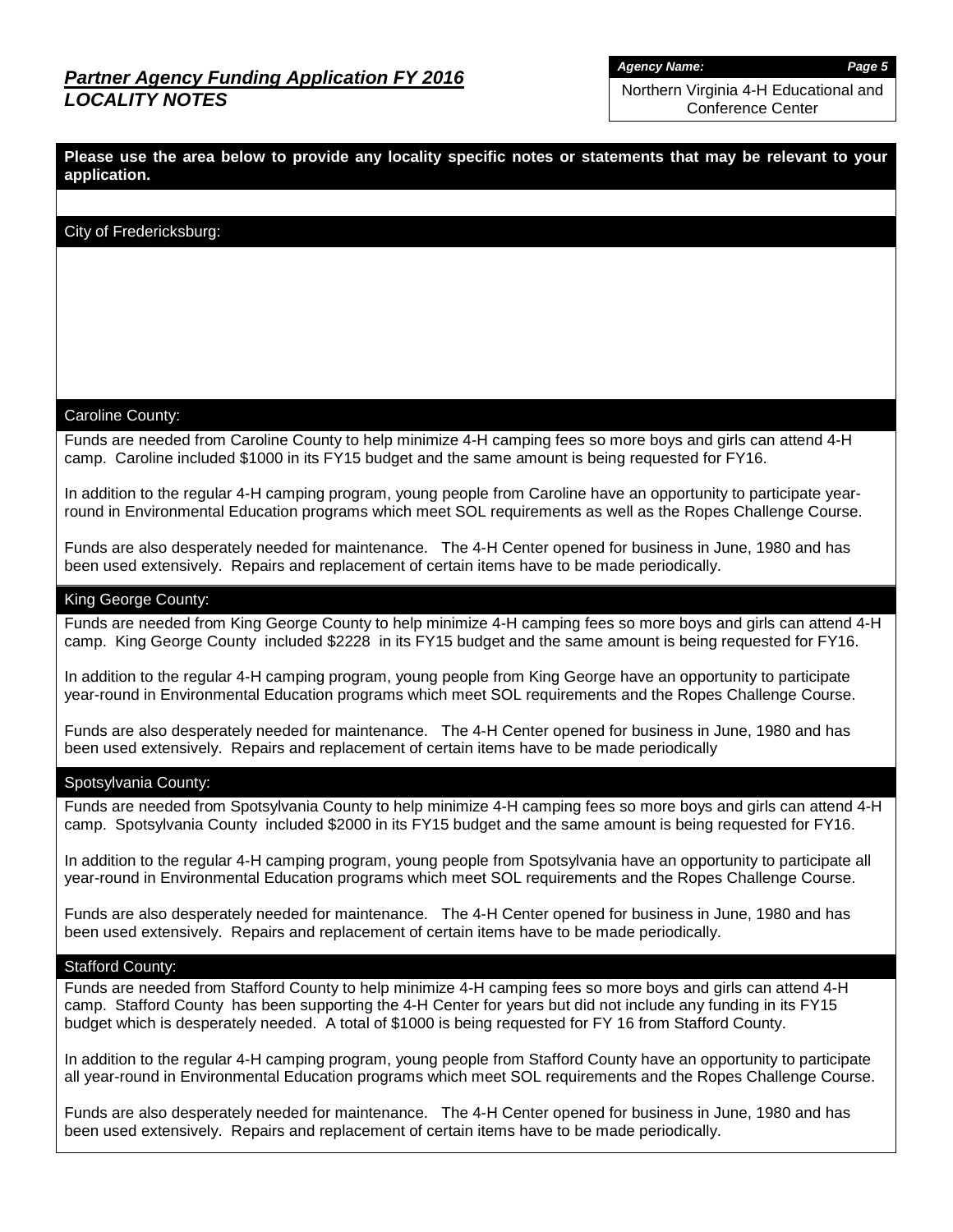*Agency Name: Page 5*

Northern Virginia 4-H Educational and Conference Center

**Please use the area below to provide any locality specific notes or statements that may be relevant to your application.**

### City of Fredericksburg:

#### Caroline County:

Funds are needed from Caroline County to help minimize 4-H camping fees so more boys and girls can attend 4-H camp. Caroline included \$1000 in its FY15 budget and the same amount is being requested for FY16.

In addition to the regular 4-H camping program, young people from Caroline have an opportunity to participate yearround in Environmental Education programs which meet SOL requirements as well as the Ropes Challenge Course.

Funds are also desperately needed for maintenance. The 4-H Center opened for business in June, 1980 and has been used extensively. Repairs and replacement of certain items have to be made periodically.

#### King George County:

Funds are needed from King George County to help minimize 4-H camping fees so more boys and girls can attend 4-H camp. King George County included \$2228 in its FY15 budget and the same amount is being requested for FY16.

In addition to the regular 4-H camping program, young people from King George have an opportunity to participate year-round in Environmental Education programs which meet SOL requirements and the Ropes Challenge Course.

Funds are also desperately needed for maintenance. The 4-H Center opened for business in June, 1980 and has been used extensively. Repairs and replacement of certain items have to be made periodically

#### Spotsylvania County:

Funds are needed from Spotsylvania County to help minimize 4-H camping fees so more boys and girls can attend 4-H camp. Spotsylvania County included \$2000 in its FY15 budget and the same amount is being requested for FY16.

In addition to the regular 4-H camping program, young people from Spotsylvania have an opportunity to participate all year-round in Environmental Education programs which meet SOL requirements and the Ropes Challenge Course.

Funds are also desperately needed for maintenance. The 4-H Center opened for business in June, 1980 and has been used extensively. Repairs and replacement of certain items have to be made periodically.

#### Stafford County:

Funds are needed from Stafford County to help minimize 4-H camping fees so more boys and girls can attend 4-H camp. Stafford County has been supporting the 4-H Center for years but did not include any funding in its FY15 budget which is desperately needed. A total of \$1000 is being requested for FY 16 from Stafford County.

In addition to the regular 4-H camping program, young people from Stafford County have an opportunity to participate all year-round in Environmental Education programs which meet SOL requirements and the Ropes Challenge Course.

Funds are also desperately needed for maintenance. The 4-H Center opened for business in June, 1980 and has been used extensively. Repairs and replacement of certain items have to be made periodically.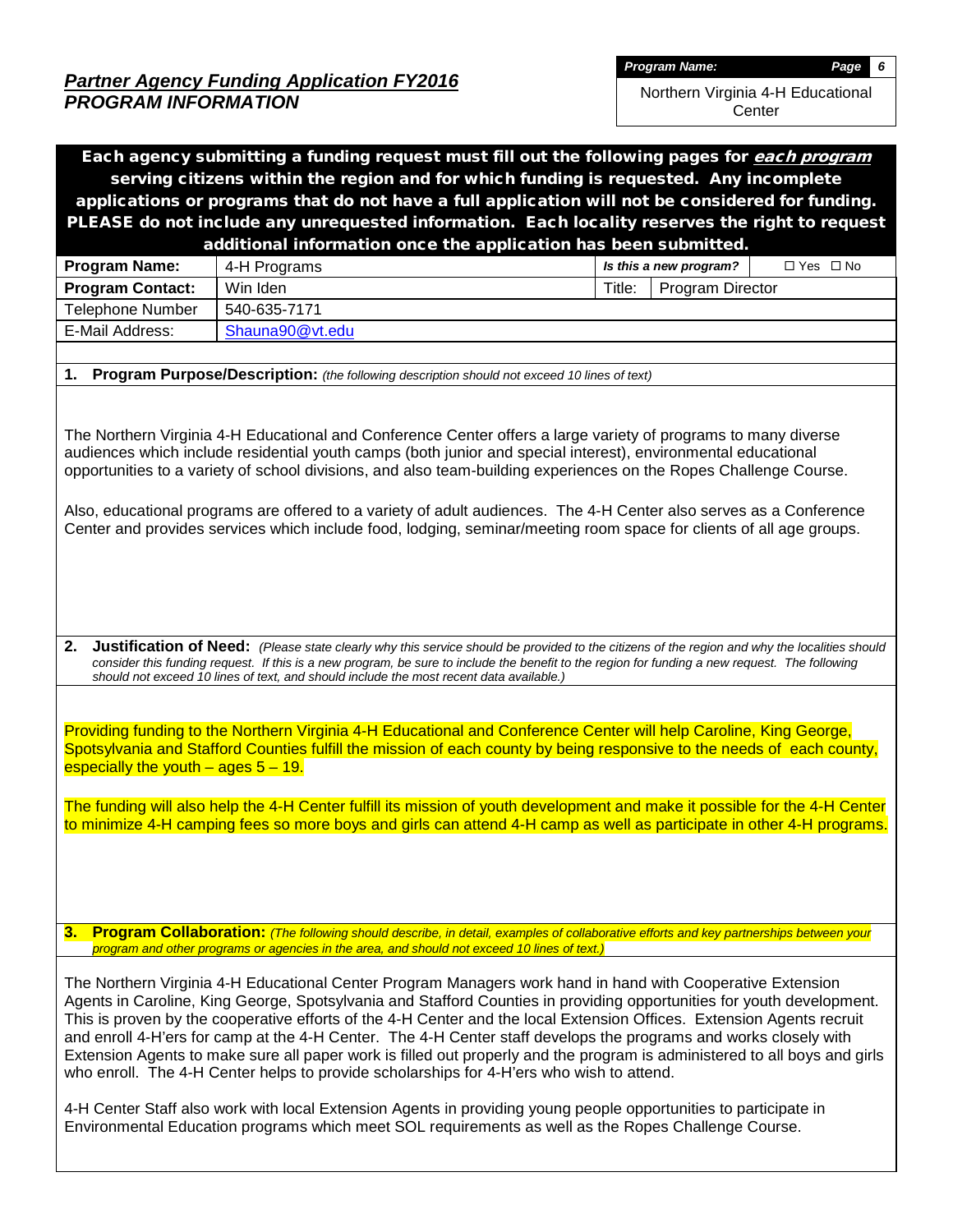Northern Virginia 4-H Educational **Center** 

| Each agency submitting a funding request must fill out the following pages for each program                                                                                                                                                                                                     |                                                                                                                                                                                                                                                                                                                                                                                                                                                                                                                                                                                                                                                                                                                                                                                                                                                                                                                                      |                                                |  |  |  |  |  |  |  |  |
|-------------------------------------------------------------------------------------------------------------------------------------------------------------------------------------------------------------------------------------------------------------------------------------------------|--------------------------------------------------------------------------------------------------------------------------------------------------------------------------------------------------------------------------------------------------------------------------------------------------------------------------------------------------------------------------------------------------------------------------------------------------------------------------------------------------------------------------------------------------------------------------------------------------------------------------------------------------------------------------------------------------------------------------------------------------------------------------------------------------------------------------------------------------------------------------------------------------------------------------------------|------------------------------------------------|--|--|--|--|--|--|--|--|
| serving citizens within the region and for which funding is requested. Any incomplete                                                                                                                                                                                                           |                                                                                                                                                                                                                                                                                                                                                                                                                                                                                                                                                                                                                                                                                                                                                                                                                                                                                                                                      |                                                |  |  |  |  |  |  |  |  |
| applications or programs that do not have a full application will not be considered for funding.                                                                                                                                                                                                |                                                                                                                                                                                                                                                                                                                                                                                                                                                                                                                                                                                                                                                                                                                                                                                                                                                                                                                                      |                                                |  |  |  |  |  |  |  |  |
| PLEASE do not include any unrequested information. Each locality reserves the right to request                                                                                                                                                                                                  |                                                                                                                                                                                                                                                                                                                                                                                                                                                                                                                                                                                                                                                                                                                                                                                                                                                                                                                                      |                                                |  |  |  |  |  |  |  |  |
|                                                                                                                                                                                                                                                                                                 | additional information once the application has been submitted.                                                                                                                                                                                                                                                                                                                                                                                                                                                                                                                                                                                                                                                                                                                                                                                                                                                                      |                                                |  |  |  |  |  |  |  |  |
| Program Name:                                                                                                                                                                                                                                                                                   | 4-H Programs                                                                                                                                                                                                                                                                                                                                                                                                                                                                                                                                                                                                                                                                                                                                                                                                                                                                                                                         | $\Box$ Yes $\Box$ No<br>Is this a new program? |  |  |  |  |  |  |  |  |
| <b>Program Contact:</b>                                                                                                                                                                                                                                                                         | Win Iden                                                                                                                                                                                                                                                                                                                                                                                                                                                                                                                                                                                                                                                                                                                                                                                                                                                                                                                             | Title:<br>Program Director                     |  |  |  |  |  |  |  |  |
| <b>Telephone Number</b>                                                                                                                                                                                                                                                                         | 540-635-7171                                                                                                                                                                                                                                                                                                                                                                                                                                                                                                                                                                                                                                                                                                                                                                                                                                                                                                                         |                                                |  |  |  |  |  |  |  |  |
| E-Mail Address:                                                                                                                                                                                                                                                                                 | Shauna90@vt.edu                                                                                                                                                                                                                                                                                                                                                                                                                                                                                                                                                                                                                                                                                                                                                                                                                                                                                                                      |                                                |  |  |  |  |  |  |  |  |
|                                                                                                                                                                                                                                                                                                 |                                                                                                                                                                                                                                                                                                                                                                                                                                                                                                                                                                                                                                                                                                                                                                                                                                                                                                                                      |                                                |  |  |  |  |  |  |  |  |
| 1.                                                                                                                                                                                                                                                                                              | Program Purpose/Description: (the following description should not exceed 10 lines of text)                                                                                                                                                                                                                                                                                                                                                                                                                                                                                                                                                                                                                                                                                                                                                                                                                                          |                                                |  |  |  |  |  |  |  |  |
| 2.                                                                                                                                                                                                                                                                                              | The Northern Virginia 4-H Educational and Conference Center offers a large variety of programs to many diverse<br>audiences which include residential youth camps (both junior and special interest), environmental educational<br>opportunities to a variety of school divisions, and also team-building experiences on the Ropes Challenge Course.<br>Also, educational programs are offered to a variety of adult audiences. The 4-H Center also serves as a Conference<br>Center and provides services which include food, lodging, seminar/meeting room space for clients of all age groups.                                                                                                                                                                                                                                                                                                                                    |                                                |  |  |  |  |  |  |  |  |
|                                                                                                                                                                                                                                                                                                 | Justification of Need: (Please state clearly why this service should be provided to the citizens of the region and why the localities should<br>consider this funding request. If this is a new program, be sure to include the benefit to the region for funding a new request. The following<br>should not exceed 10 lines of text, and should include the most recent data available.)<br>Providing funding to the Northern Virginia 4-H Educational and Conference Center will help Caroline, King George,<br>Spotsylvania and Stafford Counties fulfill the mission of each county by being responsive to the needs of each county,                                                                                                                                                                                                                                                                                             |                                                |  |  |  |  |  |  |  |  |
| especially the youth $-$ ages $5 - 19$ .<br>The funding will also help the 4-H Center fulfill its mission of youth development and make it possible for the 4-H Center<br>to minimize 4-H camping fees so more boys and girls can attend 4-H camp as well as participate in other 4-H programs. |                                                                                                                                                                                                                                                                                                                                                                                                                                                                                                                                                                                                                                                                                                                                                                                                                                                                                                                                      |                                                |  |  |  |  |  |  |  |  |
|                                                                                                                                                                                                                                                                                                 | 3. Program Collaboration: (The following should describe, in detail, examples of collaborative efforts and key partnerships between your<br>program and other programs or agencies in the area, and should not exceed 10 lines of text.)                                                                                                                                                                                                                                                                                                                                                                                                                                                                                                                                                                                                                                                                                             |                                                |  |  |  |  |  |  |  |  |
|                                                                                                                                                                                                                                                                                                 | The Northern Virginia 4-H Educational Center Program Managers work hand in hand with Cooperative Extension<br>Agents in Caroline, King George, Spotsylvania and Stafford Counties in providing opportunities for youth development.<br>This is proven by the cooperative efforts of the 4-H Center and the local Extension Offices. Extension Agents recruit<br>and enroll 4-H'ers for camp at the 4-H Center. The 4-H Center staff develops the programs and works closely with<br>Extension Agents to make sure all paper work is filled out properly and the program is administered to all boys and girls<br>who enroll. The 4-H Center helps to provide scholarships for 4-H'ers who wish to attend.<br>4-H Center Staff also work with local Extension Agents in providing young people opportunities to participate in<br>Environmental Education programs which meet SOL requirements as well as the Ropes Challenge Course. |                                                |  |  |  |  |  |  |  |  |
|                                                                                                                                                                                                                                                                                                 |                                                                                                                                                                                                                                                                                                                                                                                                                                                                                                                                                                                                                                                                                                                                                                                                                                                                                                                                      |                                                |  |  |  |  |  |  |  |  |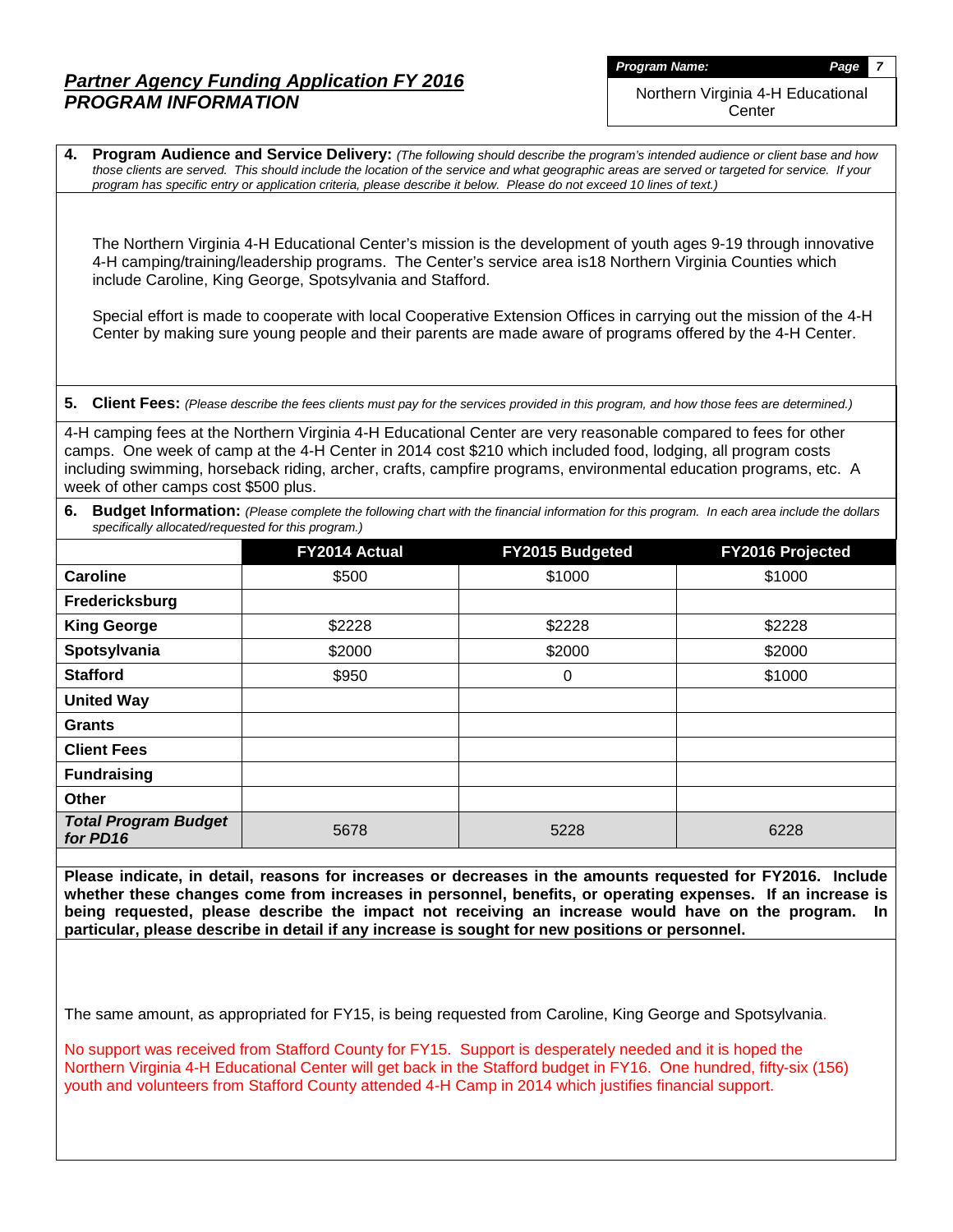Northern Virginia 4-H Educational **Center** 

**4. Program Audience and Service Delivery:** *(The following should describe the program's intended audience or client base and how those clients are served. This should include the location of the service and what geographic areas are served or targeted for service. If your program has specific entry or application criteria, please describe it below. Please do not exceed 10 lines of text.)*

The Northern Virginia 4-H Educational Center's mission is the development of youth ages 9-19 through innovative 4-H camping/training/leadership programs. The Center's service area is18 Northern Virginia Counties which include Caroline, King George, Spotsylvania and Stafford.

Special effort is made to cooperate with local Cooperative Extension Offices in carrying out the mission of the 4-H Center by making sure young people and their parents are made aware of programs offered by the 4-H Center.

**5. Client Fees:** *(Please describe the fees clients must pay for the services provided in this program, and how those fees are determined.)*

4-H camping fees at the Northern Virginia 4-H Educational Center are very reasonable compared to fees for other camps. One week of camp at the 4-H Center in 2014 cost \$210 which included food, lodging, all program costs including swimming, horseback riding, archer, crafts, campfire programs, environmental education programs, etc. A week of other camps cost \$500 plus.

|                                                     | 6. Budget Information: (Please complete the following chart with the financial information for this program. In each area include the dollars |  |
|-----------------------------------------------------|-----------------------------------------------------------------------------------------------------------------------------------------------|--|
| specifically allocated/requested for this program.) |                                                                                                                                               |  |

|                                         | FY2014 Actual | FY2015 Budgeted | <b>FY2016 Projected</b> |
|-----------------------------------------|---------------|-----------------|-------------------------|
| Caroline                                | \$500         | \$1000          | \$1000                  |
| Fredericksburg                          |               |                 |                         |
| <b>King George</b>                      | \$2228        | \$2228          | \$2228                  |
| Spotsylvania                            | \$2000        | \$2000          | \$2000                  |
| <b>Stafford</b>                         | \$950         | 0               | \$1000                  |
| <b>United Way</b>                       |               |                 |                         |
| <b>Grants</b>                           |               |                 |                         |
| <b>Client Fees</b>                      |               |                 |                         |
| <b>Fundraising</b>                      |               |                 |                         |
| <b>Other</b>                            |               |                 |                         |
| <b>Total Program Budget</b><br>for PD16 | 5678          | 5228            | 6228                    |

**Please indicate, in detail, reasons for increases or decreases in the amounts requested for FY2016. Include whether these changes come from increases in personnel, benefits, or operating expenses. If an increase is being requested, please describe the impact not receiving an increase would have on the program. In particular, please describe in detail if any increase is sought for new positions or personnel.**

The same amount, as appropriated for FY15, is being requested from Caroline, King George and Spotsylvania.

No support was received from Stafford County for FY15. Support is desperately needed and it is hoped the Northern Virginia 4-H Educational Center will get back in the Stafford budget in FY16. One hundred, fifty-six (156) youth and volunteers from Stafford County attended 4-H Camp in 2014 which justifies financial support.

*Program Name: Page 7*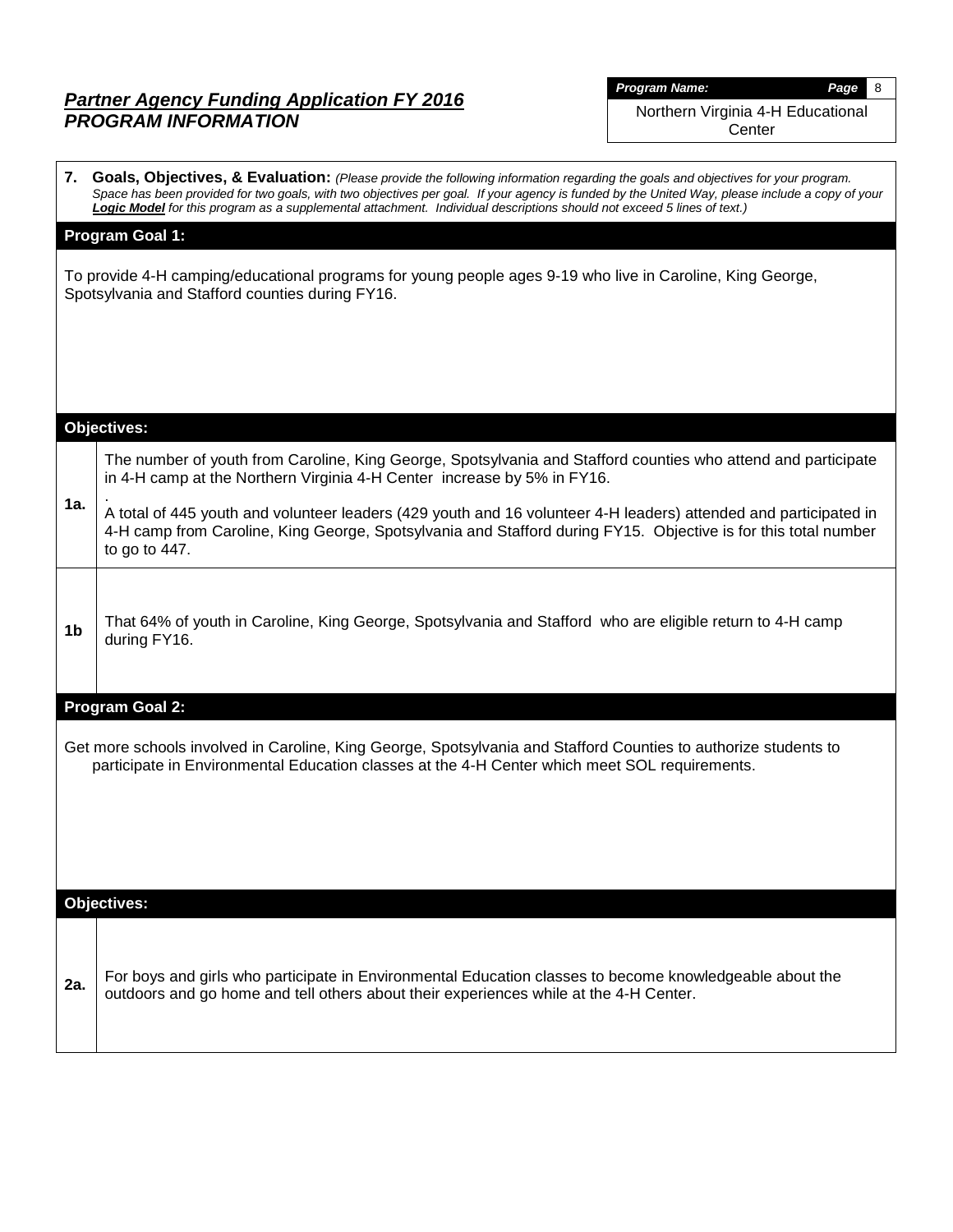| <b>Program Name:</b> |
|----------------------|
|----------------------|

*Program Name: Page* 8

Northern Virginia 4-H Educational **Center** 

|                | 7. Goals, Objectives, & Evaluation: (Please provide the following information regarding the goals and objectives for your program.<br>Space has been provided for two goals, with two objectives per goal. If your agency is funded by the United Way, please include a copy of your<br>Logic Model for this program as a supplemental attachment. Individual descriptions should not exceed 5 lines of text.) |  |  |  |  |  |  |  |  |  |  |
|----------------|----------------------------------------------------------------------------------------------------------------------------------------------------------------------------------------------------------------------------------------------------------------------------------------------------------------------------------------------------------------------------------------------------------------|--|--|--|--|--|--|--|--|--|--|
|                | <b>Program Goal 1:</b>                                                                                                                                                                                                                                                                                                                                                                                         |  |  |  |  |  |  |  |  |  |  |
|                | To provide 4-H camping/educational programs for young people ages 9-19 who live in Caroline, King George,<br>Spotsylvania and Stafford counties during FY16.                                                                                                                                                                                                                                                   |  |  |  |  |  |  |  |  |  |  |
|                |                                                                                                                                                                                                                                                                                                                                                                                                                |  |  |  |  |  |  |  |  |  |  |
|                |                                                                                                                                                                                                                                                                                                                                                                                                                |  |  |  |  |  |  |  |  |  |  |
|                |                                                                                                                                                                                                                                                                                                                                                                                                                |  |  |  |  |  |  |  |  |  |  |
|                | <b>Objectives:</b>                                                                                                                                                                                                                                                                                                                                                                                             |  |  |  |  |  |  |  |  |  |  |
|                | The number of youth from Caroline, King George, Spotsylvania and Stafford counties who attend and participate<br>in 4-H camp at the Northern Virginia 4-H Center increase by 5% in FY16.                                                                                                                                                                                                                       |  |  |  |  |  |  |  |  |  |  |
| 1a.            | A total of 445 youth and volunteer leaders (429 youth and 16 volunteer 4-H leaders) attended and participated in<br>4-H camp from Caroline, King George, Spotsylvania and Stafford during FY15. Objective is for this total number<br>to go to $447$ .                                                                                                                                                         |  |  |  |  |  |  |  |  |  |  |
| 1 <sub>b</sub> | That 64% of youth in Caroline, King George, Spotsylvania and Stafford who are eligible return to 4-H camp<br>during FY16.                                                                                                                                                                                                                                                                                      |  |  |  |  |  |  |  |  |  |  |
|                | <b>Program Goal 2:</b>                                                                                                                                                                                                                                                                                                                                                                                         |  |  |  |  |  |  |  |  |  |  |
|                | Get more schools involved in Caroline, King George, Spotsylvania and Stafford Counties to authorize students to<br>participate in Environmental Education classes at the 4-H Center which meet SOL requirements.                                                                                                                                                                                               |  |  |  |  |  |  |  |  |  |  |
|                |                                                                                                                                                                                                                                                                                                                                                                                                                |  |  |  |  |  |  |  |  |  |  |
|                | <b>Objectives:</b>                                                                                                                                                                                                                                                                                                                                                                                             |  |  |  |  |  |  |  |  |  |  |
| 2a.            | For boys and girls who participate in Environmental Education classes to become knowledgeable about the<br>outdoors and go home and tell others about their experiences while at the 4-H Center.                                                                                                                                                                                                               |  |  |  |  |  |  |  |  |  |  |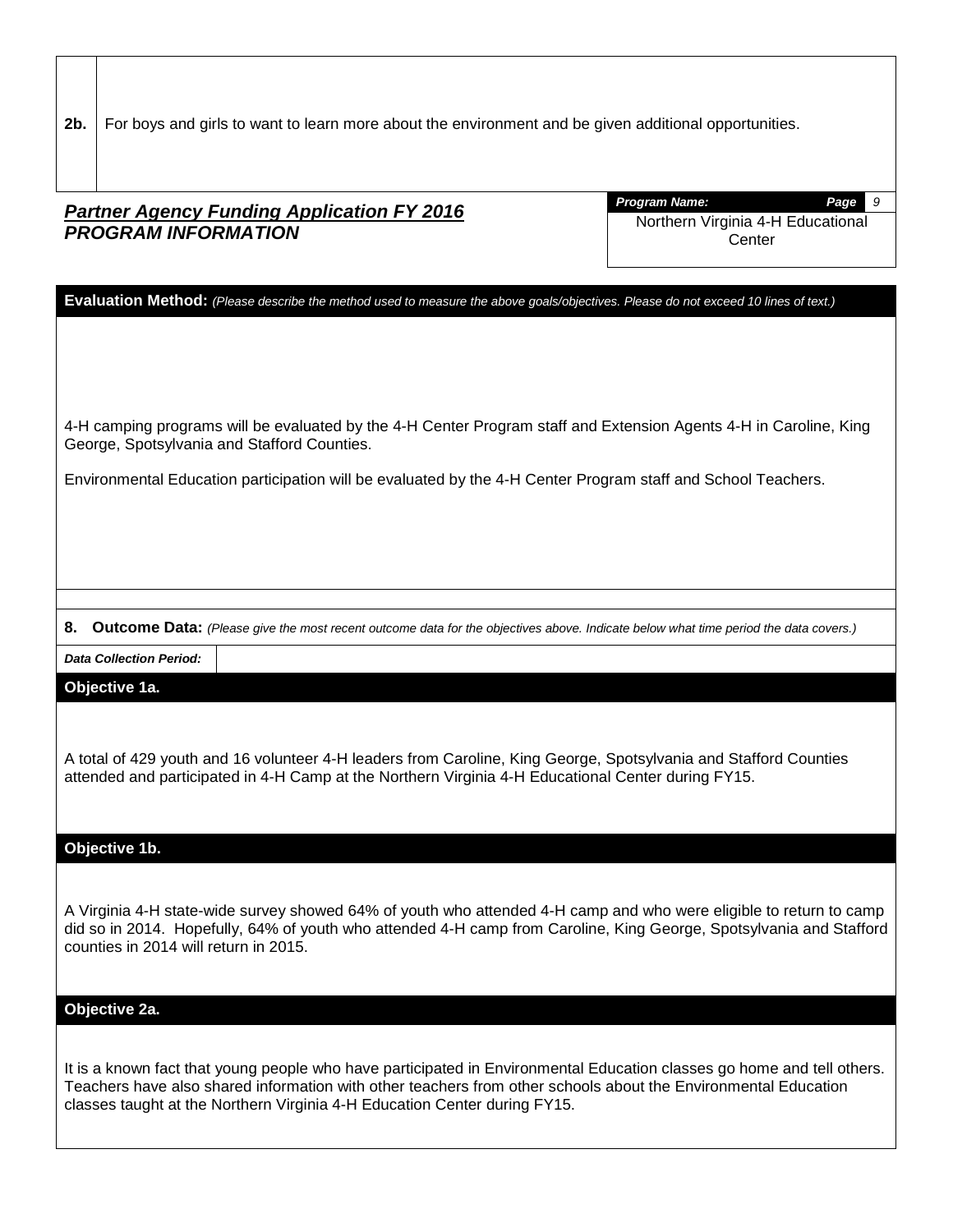**2b.** For boys and girls to want to learn more about the environment and be given additional opportunities.

# *Partner Agency Funding Application FY 2016 PROGRAM INFORMATION*

*Program Name: Page 9* Northern Virginia 4-H Educational **Center** 

**Evaluation Method:** *(Please describe the method used to measure the above goals/objectives. Please do not exceed 10 lines of text.)*

4-H camping programs will be evaluated by the 4-H Center Program staff and Extension Agents 4-H in Caroline, King George, Spotsylvania and Stafford Counties.

Environmental Education participation will be evaluated by the 4-H Center Program staff and School Teachers.

**8. Outcome Data:** *(Please give the most recent outcome data for the objectives above. Indicate below what time period the data covers.)*

*Data Collection Period:*

### **Objective 1a.**

A total of 429 youth and 16 volunteer 4-H leaders from Caroline, King George, Spotsylvania and Stafford Counties attended and participated in 4-H Camp at the Northern Virginia 4-H Educational Center during FY15.

#### **Objective 1b.**

A Virginia 4-H state-wide survey showed 64% of youth who attended 4-H camp and who were eligible to return to camp did so in 2014. Hopefully, 64% of youth who attended 4-H camp from Caroline, King George, Spotsylvania and Stafford counties in 2014 will return in 2015.

#### **Objective 2a.**

It is a known fact that young people who have participated in Environmental Education classes go home and tell others. Teachers have also shared information with other teachers from other schools about the Environmental Education classes taught at the Northern Virginia 4-H Education Center during FY15.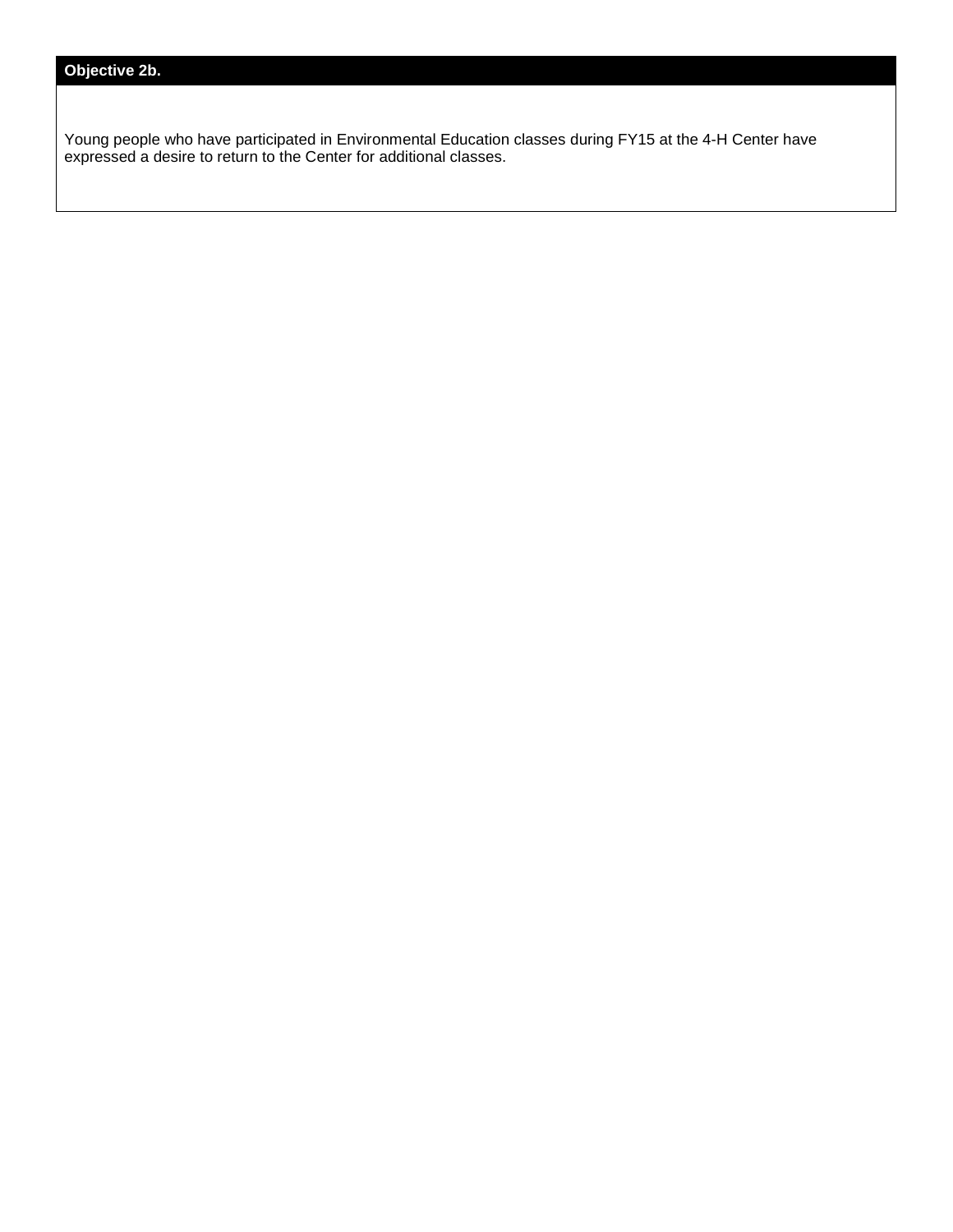## **Objective 2b.**

Young people who have participated in Environmental Education classes during FY15 at the 4-H Center have expressed a desire to return to the Center for additional classes.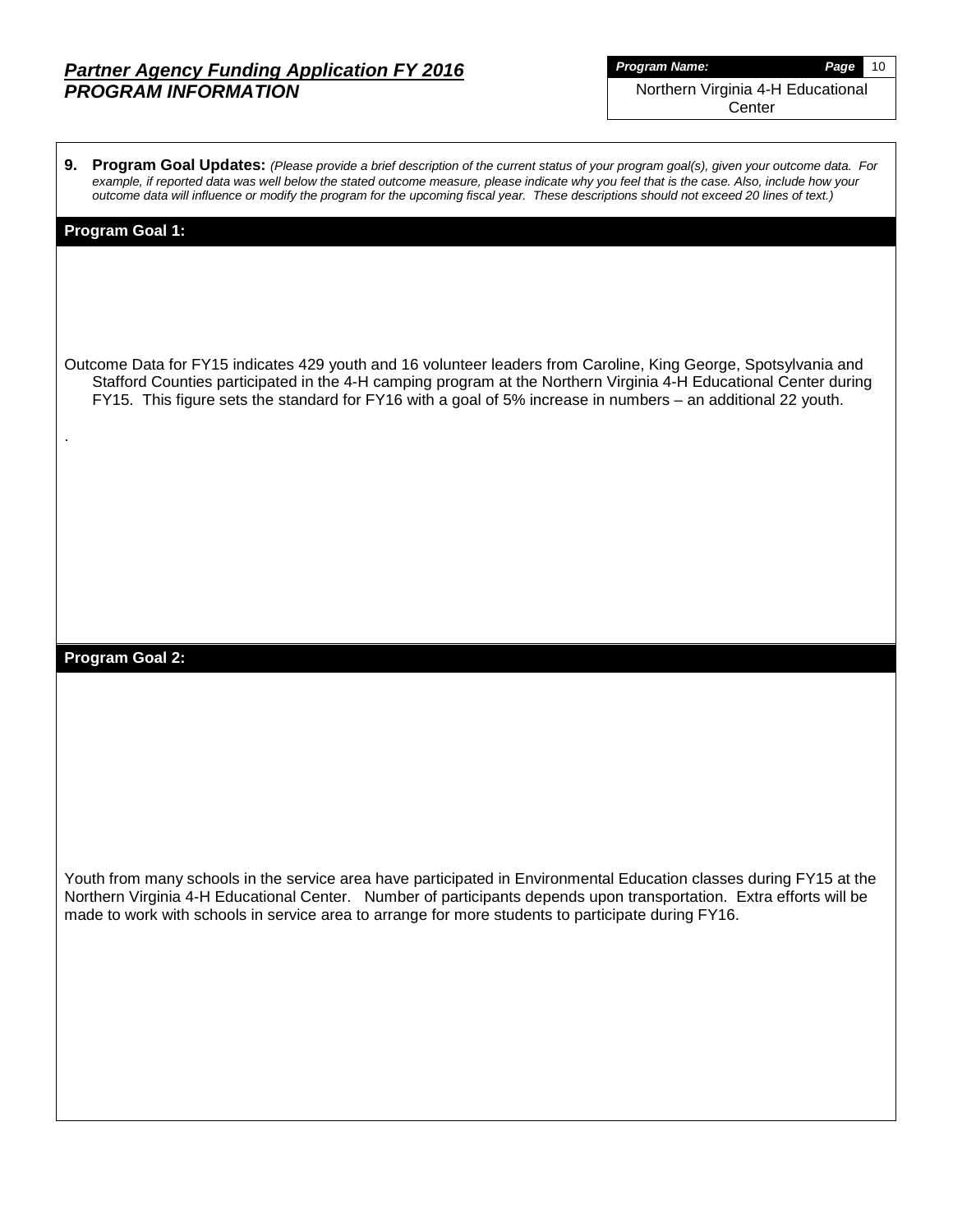| <b>Program Name:</b>              | Page | 10 |
|-----------------------------------|------|----|
| Northern Virginia 4-H Educational |      |    |
| Center                            |      |    |

**9. Program Goal Updates:** *(Please provide a brief description of the current status of your program goal(s), given your outcome data. For example, if reported data was well below the stated outcome measure, please indicate why you feel that is the case. Also, include how your outcome data will influence or modify the program for the upcoming fiscal year. These descriptions should not exceed 20 lines of text.)*

#### **Program Goal 1:**

.

Outcome Data for FY15 indicates 429 youth and 16 volunteer leaders from Caroline, King George, Spotsylvania and Stafford Counties participated in the 4-H camping program at the Northern Virginia 4-H Educational Center during FY15. This figure sets the standard for FY16 with a goal of 5% increase in numbers – an additional 22 youth.

### **Program Goal 2:**

Youth from many schools in the service area have participated in Environmental Education classes during FY15 at the Northern Virginia 4-H Educational Center. Number of participants depends upon transportation. Extra efforts will be made to work with schools in service area to arrange for more students to participate during FY16.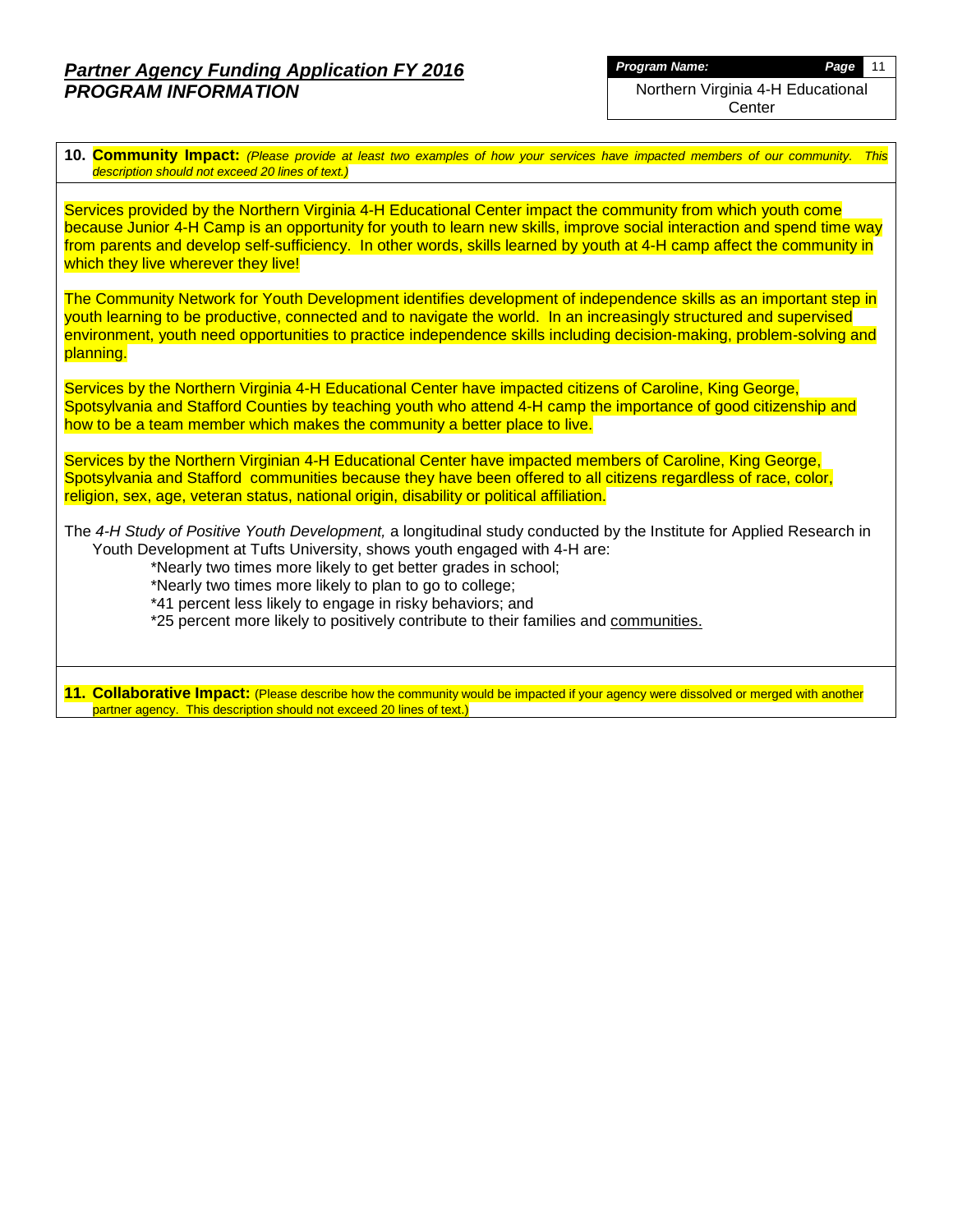*Program Name: Page* 11 Northern Virginia 4-H Educational **Center** 

**10. Community Impact:** *(Please provide at least two examples of how your services have impacted members of our community. This description should not exceed 20 lines of text.)*

Services provided by the Northern Virginia 4-H Educational Center impact the community from which youth come because Junior 4-H Camp is an opportunity for youth to learn new skills, improve social interaction and spend time way from parents and develop self-sufficiency. In other words, skills learned by youth at 4-H camp affect the community in which they live wherever they live!

The Community Network for Youth Development identifies development of independence skills as an important step in youth learning to be productive, connected and to navigate the world. In an increasingly structured and supervised environment, youth need opportunities to practice independence skills including decision-making, problem-solving and planning.

Services by the Northern Virginia 4-H Educational Center have impacted citizens of Caroline, King George, Spotsylvania and Stafford Counties by teaching youth who attend 4-H camp the importance of good citizenship and how to be a team member which makes the community a better place to live.

Services by the Northern Virginian 4-H Educational Center have impacted members of Caroline, King George, Spotsylvania and Stafford communities because they have been offered to all citizens regardless of race, color, religion, sex, age, veteran status, national origin, disability or political affiliation.

The *4-H Study of Positive Youth Development,* a longitudinal study conducted by the Institute for Applied Research in Youth Development at Tufts University, shows youth engaged with 4-H are:

\*Nearly two times more likely to get better grades in school;

\*Nearly two times more likely to plan to go to college;

\*41 percent less likely to engage in risky behaviors; and

\*25 percent more likely to positively contribute to their families and communities.

**11. Collaborative Impact:** (Please describe how the community would be impacted if your agency were dissolved or merged with another partner agency. This description should not exceed 20 lines of text.)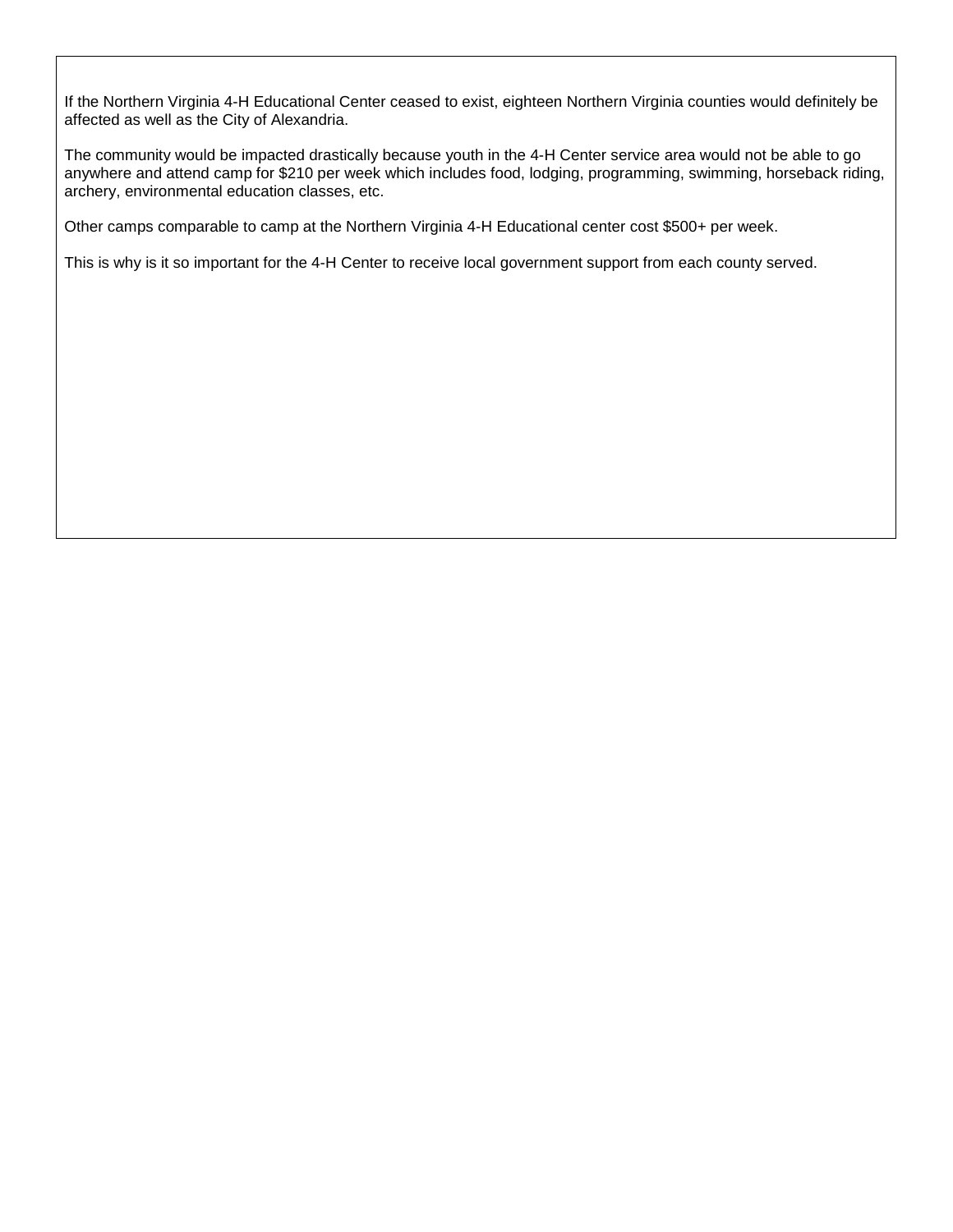If the Northern Virginia 4-H Educational Center ceased to exist, eighteen Northern Virginia counties would definitely be affected as well as the City of Alexandria.

The community would be impacted drastically because youth in the 4-H Center service area would not be able to go anywhere and attend camp for \$210 per week which includes food, lodging, programming, swimming, horseback riding, archery, environmental education classes, etc.

Other camps comparable to camp at the Northern Virginia 4-H Educational center cost \$500+ per week.

This is why is it so important for the 4-H Center to receive local government support from each county served.